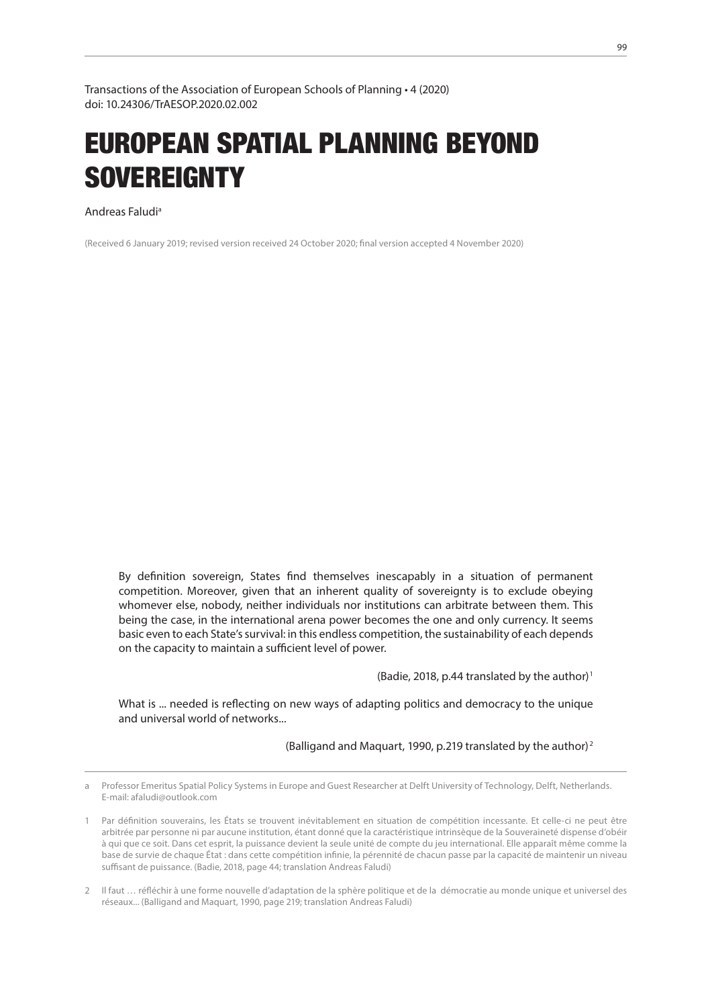Transactions of the Association of European Schools of Planning • 4 (2020) doi: 10.24306/TrAESOP.2020.02.002

# EUROPEAN SPATIAL PLANNING BEYOND **SOVEREIGNTY**

Andreas Faludia1

(Received 6 January 2019; revised version received 24 October 2020; final version accepted 4 November 2020)

By definition sovereign, States find themselves inescapably in a situation of permanent competition. Moreover, given that an inherent quality of sovereignty is to exclude obeying whomever else, nobody, neither individuals nor institutions can arbitrate between them. This being the case, in the international arena power becomes the one and only currency. It seems basic even to each State's survival: in this endless competition, the sustainability of each depends on the capacity to maintain a sufficient level of power.

(Badie, 2018, p.44 translated by the author)<sup>1</sup>

What is ... needed is reflecting on new ways of adapting politics and democracy to the unique and universal world of networks...

(Balligand and Maquart, 1990, p.219 translated by the author)<sup>2</sup>

a Professor Emeritus Spatial Policy Systems in Europe and Guest Researcher at Delft University of Technology, Delft, Netherlands. E-mail: afaludi@outlook.com

<sup>12</sup> Par définition souverains, les États se trouvent inévitablement en situation de compétition incessante. Et celle-ci ne peut être arbitrée par personne ni par aucune institution, étant donné que la caractéristique intrinsèque de la Souveraineté dispense d'obéir à qui que ce soit. Dans cet esprit, la puissance devient la seule unité de compte du jeu international. Elle apparaît même comme la base de survie de chaque État : dans cette compétition infinie, la pérennité de chacun passe par la capacité de maintenir un niveau suffisant de puissance. (Badie, 2018, page 44; translation Andreas Faludi)

<sup>23</sup> Il faut … réfléchir à une forme nouvelle d'adaptation de la sphère politique et de la démocratie au monde unique et universel des réseaux... (Balligand and Maquart, 1990, page 219; translation Andreas Faludi)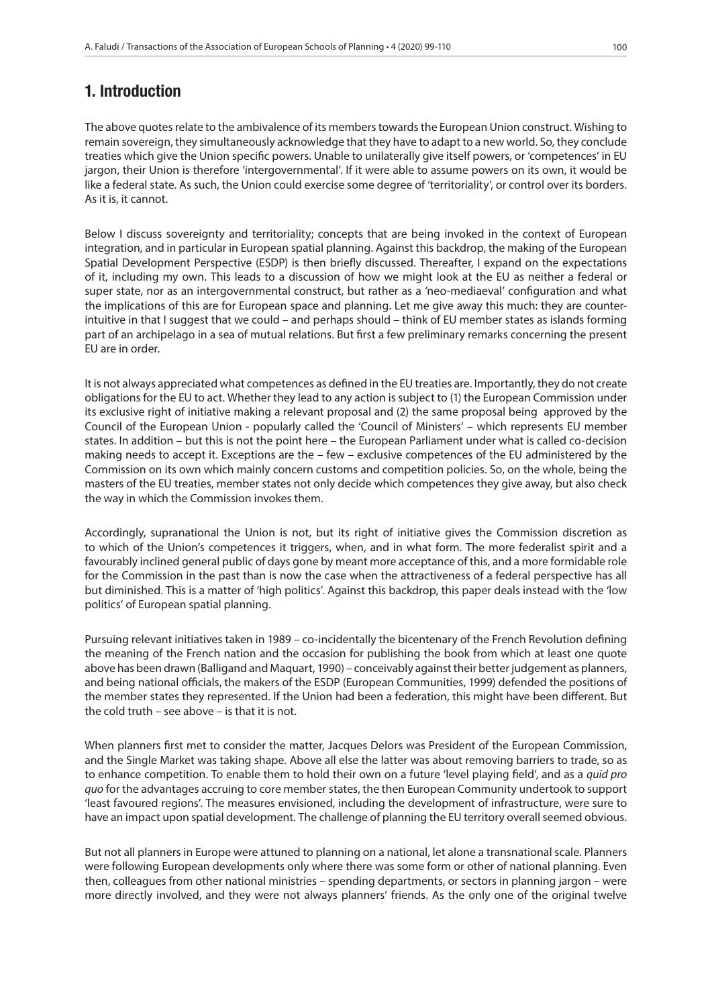## 1. Introduction

The above quotes relate to the ambivalence of its members towards the European Union construct. Wishing to remain sovereign, they simultaneously acknowledge that they have to adapt to a new world. So, they conclude treaties which give the Union specific powers. Unable to unilaterally give itself powers, or 'competences' in EU jargon, their Union is therefore 'intergovernmental'. If it were able to assume powers on its own, it would be like a federal state. As such, the Union could exercise some degree of 'territoriality', or control over its borders. As it is, it cannot.

Below I discuss sovereignty and territoriality; concepts that are being invoked in the context of European integration, and in particular in European spatial planning. Against this backdrop, the making of the European Spatial Development Perspective (ESDP) is then briefly discussed. Thereafter, I expand on the expectations of it, including my own. This leads to a discussion of how we might look at the EU as neither a federal or super state, nor as an intergovernmental construct, but rather as a 'neo-mediaeval' configuration and what the implications of this are for European space and planning. Let me give away this much: they are counterintuitive in that I suggest that we could – and perhaps should – think of EU member states as islands forming part of an archipelago in a sea of mutual relations. But first a few preliminary remarks concerning the present EU are in order.

It is not always appreciated what competences as defined in the EU treaties are. Importantly, they do not create obligations for the EU to act. Whether they lead to any action is subject to (1) the European Commission under its exclusive right of initiative making a relevant proposal and (2) the same proposal being approved by the Council of the European Union - popularly called the 'Council of Ministers' – which represents EU member states. In addition – but this is not the point here – the European Parliament under what is called co-decision making needs to accept it. Exceptions are the – few – exclusive competences of the EU administered by the Commission on its own which mainly concern customs and competition policies. So, on the whole, being the masters of the EU treaties, member states not only decide which competences they give away, but also check the way in which the Commission invokes them.

Accordingly, supranational the Union is not, but its right of initiative gives the Commission discretion as to which of the Union's competences it triggers, when, and in what form. The more federalist spirit and a favourably inclined general public of days gone by meant more acceptance of this, and a more formidable role for the Commission in the past than is now the case when the attractiveness of a federal perspective has all but diminished. This is a matter of 'high politics'. Against this backdrop, this paper deals instead with the 'low politics' of European spatial planning.

Pursuing relevant initiatives taken in 1989 – co-incidentally the bicentenary of the French Revolution defining the meaning of the French nation and the occasion for publishing the book from which at least one quote above has been drawn (Balligand and Maquart, 1990) – conceivably against their better judgement as planners, and being national officials, the makers of the ESDP (European Communities, 1999) defended the positions of the member states they represented. If the Union had been a federation, this might have been different. But the cold truth – see above – is that it is not.

When planners first met to consider the matter, Jacques Delors was President of the European Commission, and the Single Market was taking shape. Above all else the latter was about removing barriers to trade, so as to enhance competition. To enable them to hold their own on a future 'level playing field', and as a *quid pro quo* for the advantages accruing to core member states, the then European Community undertook to support 'least favoured regions'. The measures envisioned, including the development of infrastructure, were sure to have an impact upon spatial development. The challenge of planning the EU territory overall seemed obvious.

But not all planners in Europe were attuned to planning on a national, let alone a transnational scale. Planners were following European developments only where there was some form or other of national planning. Even then, colleagues from other national ministries – spending departments, or sectors in planning jargon – were more directly involved, and they were not always planners' friends. As the only one of the original twelve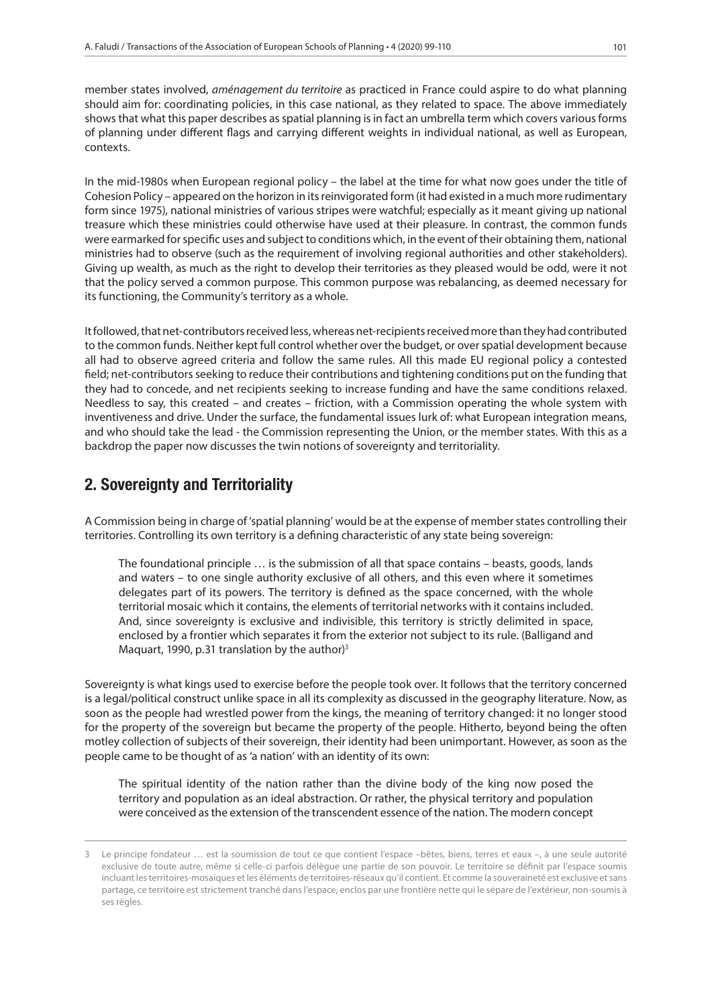member states involved, *aménagement du territoire* as practiced in France could aspire to do what planning should aim for: coordinating policies, in this case national, as they related to space. The above immediately shows that what this paper describes as spatial planning is in fact an umbrella term which covers various forms of planning under different flags and carrying different weights in individual national, as well as European, contexts.

In the mid-1980s when European regional policy – the label at the time for what now goes under the title of Cohesion Policy – appeared on the horizon in its reinvigorated form (it had existed in a much more rudimentary form since 1975), national ministries of various stripes were watchful; especially as it meant giving up national treasure which these ministries could otherwise have used at their pleasure. In contrast, the common funds were earmarked for specific uses and subject to conditions which, in the event of their obtaining them, national ministries had to observe (such as the requirement of involving regional authorities and other stakeholders). Giving up wealth, as much as the right to develop their territories as they pleased would be odd, were it not that the policy served a common purpose. This common purpose was rebalancing, as deemed necessary for its functioning, the Community's territory as a whole.

It followed, that net-contributors received less, whereas net-recipients received more than they had contributed to the common funds. Neither kept full control whether over the budget, or over spatial development because all had to observe agreed criteria and follow the same rules. All this made EU regional policy a contested field; net-contributors seeking to reduce their contributions and tightening conditions put on the funding that they had to concede, and net recipients seeking to increase funding and have the same conditions relaxed. Needless to say, this created – and creates – friction, with a Commission operating the whole system with inventiveness and drive. Under the surface, the fundamental issues lurk of: what European integration means, and who should take the lead - the Commission representing the Union, or the member states. With this as a backdrop the paper now discusses the twin notions of sovereignty and territoriality.

### 2. Sovereignty and Territoriality

A Commission being in charge of 'spatial planning' would be at the expense of member states controlling their territories. Controlling its own territory is a defining characteristic of any state being sovereign:

The foundational principle … is the submission of all that space contains – beasts, goods, lands and waters – to one single authority exclusive of all others, and this even where it sometimes delegates part of its powers. The territory is defined as the space concerned, with the whole territorial mosaic which it contains, the elements of territorial networks with it contains included. And, since sovereignty is exclusive and indivisible, this territory is strictly delimited in space, enclosed by a frontier which separates it from the exterior not subject to its rule. (Balligand and Maquart, 1990, p.31 translation by the author) $3$ 

Sovereignty is what kings used to exercise before the people took over. It follows that the territory concerned is a legal/political construct unlike space in all its complexity as discussed in the geography literature. Now, as soon as the people had wrestled power from the kings, the meaning of territory changed: it no longer stood for the property of the sovereign but became the property of the people. Hitherto, beyond being the often motley collection of subjects of their sovereign, their identity had been unimportant. However, as soon as the people came to be thought of as 'a nation' with an identity of its own:

The spiritual identity of the nation rather than the divine body of the king now posed the territory and population as an ideal abstraction. Or rather, the physical territory and population were conceived as the extension of the transcendent essence of the nation. The modern concept

<sup>31</sup> Le principe fondateur … est la soumission de tout ce que contient l'espace –bêtes, biens, terres et eaux –, à une seule autorité exclusive de toute autre, même si celle-ci parfois délègue une partie de son pouvoir. Le territoire se définit par l'espace soumis incluant les territoires-mosaïques et les éléments de territoires-réseaux qu'il contient. Et comme la souveraineté est exclusive et sans partage, ce territoire est strictement tranché dans l'espace, enclos par une frontière nette qui le sépare de l'extérieur, non-soumis à ses règles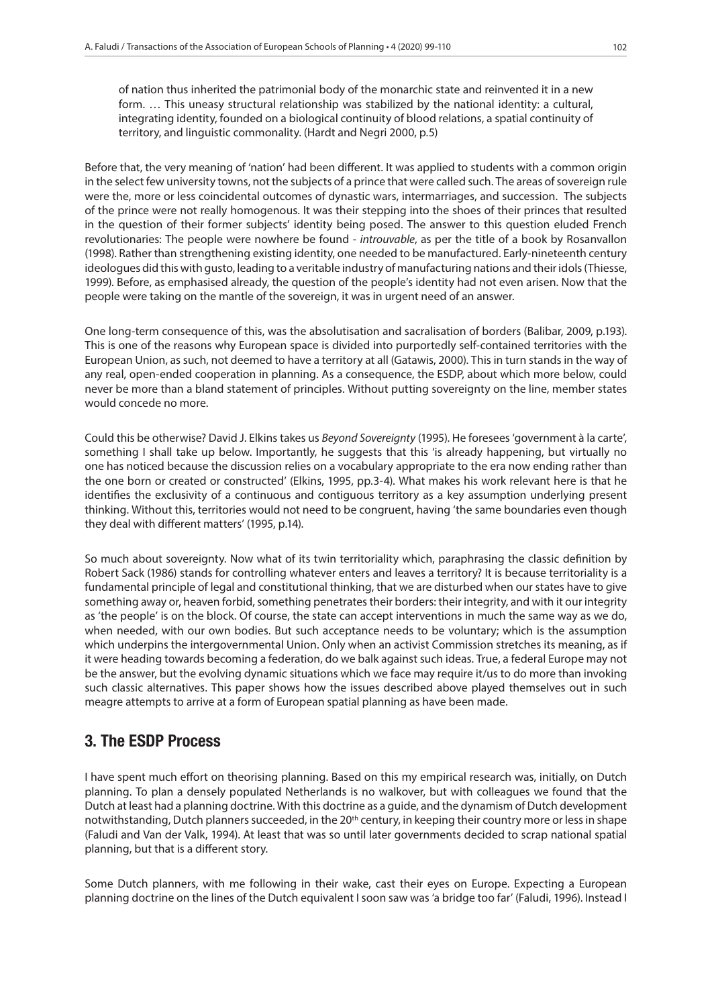of nation thus inherited the patrimonial body of the monarchic state and reinvented it in a new form. … This uneasy structural relationship was stabilized by the national identity: a cultural, integrating identity, founded on a biological continuity of blood relations, a spatial continuity of territory, and linguistic commonality. (Hardt and Negri 2000, p.5)

Before that, the very meaning of 'nation' had been different. It was applied to students with a common origin in the select few university towns, not the subjects of a prince that were called such. The areas of sovereign rule were the, more or less coincidental outcomes of dynastic wars, intermarriages, and succession. The subjects of the prince were not really homogenous. It was their stepping into the shoes of their princes that resulted in the question of their former subjects' identity being posed. The answer to this question eluded French revolutionaries: The people were nowhere be found - *introuvable*, as per the title of a book by Rosanvallon (1998). Rather than strengthening existing identity, one needed to be manufactured. Early-nineteenth century ideologues did this with gusto, leading to a veritable industry of manufacturing nations and their idols (Thiesse, 1999). Before, as emphasised already, the question of the people's identity had not even arisen. Now that the people were taking on the mantle of the sovereign, it was in urgent need of an answer.

One long-term consequence of this, was the absolutisation and sacralisation of borders (Balibar, 2009, p.193). This is one of the reasons why European space is divided into purportedly self-contained territories with the European Union, as such, not deemed to have a territory at all (Gatawis, 2000). This in turn stands in the way of any real, open-ended cooperation in planning. As a consequence, the ESDP, about which more below, could never be more than a bland statement of principles. Without putting sovereignty on the line, member states would concede no more.

Could this be otherwise? David J. Elkins takes us *Beyond Sovereignty* (1995). He foresees 'government à la carte', something I shall take up below. Importantly, he suggests that this 'is already happening, but virtually no one has noticed because the discussion relies on a vocabulary appropriate to the era now ending rather than the one born or created or constructed' (Elkins, 1995, pp.3-4). What makes his work relevant here is that he identifies the exclusivity of a continuous and contiguous territory as a key assumption underlying present thinking. Without this, territories would not need to be congruent, having 'the same boundaries even though they deal with different matters' (1995, p.14).

So much about sovereignty. Now what of its twin territoriality which, paraphrasing the classic definition by Robert Sack (1986) stands for controlling whatever enters and leaves a territory? It is because territoriality is a fundamental principle of legal and constitutional thinking, that we are disturbed when our states have to give something away or, heaven forbid, something penetrates their borders: their integrity, and with it our integrity as 'the people' is on the block. Of course, the state can accept interventions in much the same way as we do, when needed, with our own bodies. But such acceptance needs to be voluntary; which is the assumption which underpins the intergovernmental Union. Only when an activist Commission stretches its meaning, as if it were heading towards becoming a federation, do we balk against such ideas. True, a federal Europe may not be the answer, but the evolving dynamic situations which we face may require it/us to do more than invoking such classic alternatives. This paper shows how the issues described above played themselves out in such meagre attempts to arrive at a form of European spatial planning as have been made.

#### 3. The ESDP Process

I have spent much effort on theorising planning. Based on this my empirical research was, initially, on Dutch planning. To plan a densely populated Netherlands is no walkover, but with colleagues we found that the Dutch at least had a planning doctrine. With this doctrine as a guide, and the dynamism of Dutch development notwithstanding, Dutch planners succeeded, in the 20<sup>th</sup> century, in keeping their country more or less in shape (Faludi and Van der Valk, 1994). At least that was so until later governments decided to scrap national spatial planning, but that is a different story.

Some Dutch planners, with me following in their wake, cast their eyes on Europe. Expecting a European planning doctrine on the lines of the Dutch equivalent I soon saw was 'a bridge too far' (Faludi, 1996). Instead I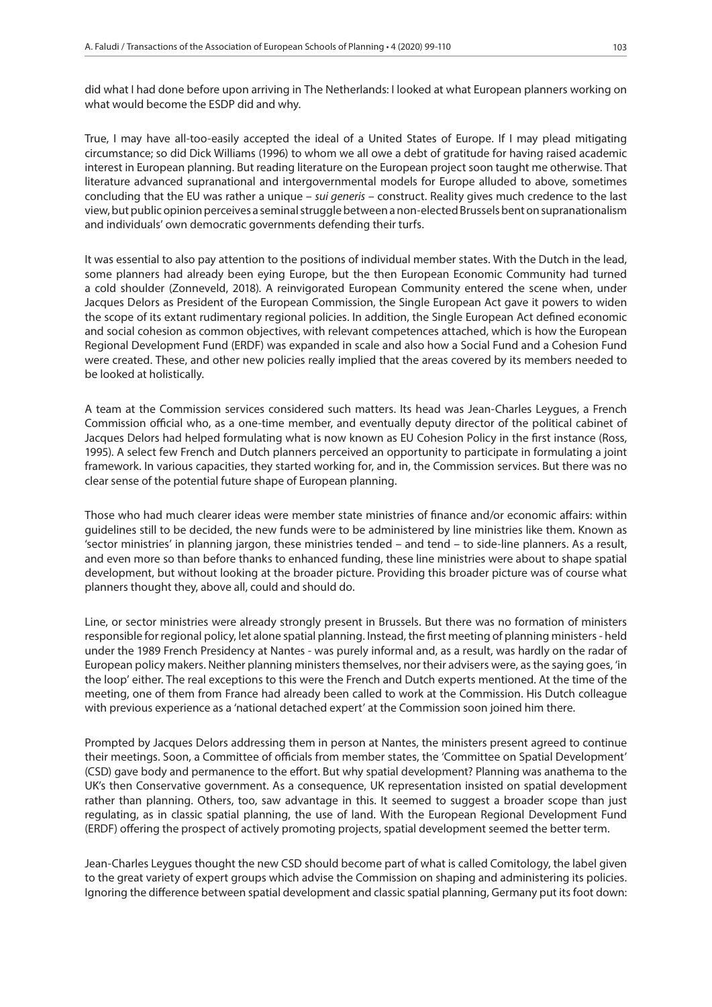did what I had done before upon arriving in The Netherlands: I looked at what European planners working on what would become the ESDP did and why.

True, I may have all-too-easily accepted the ideal of a United States of Europe. If I may plead mitigating circumstance; so did Dick Williams (1996) to whom we all owe a debt of gratitude for having raised academic interest in European planning. But reading literature on the European project soon taught me otherwise. That literature advanced supranational and intergovernmental models for Europe alluded to above, sometimes concluding that the EU was rather a unique – *sui generis* – construct. Reality gives much credence to the last view, but public opinion perceives a seminal struggle between a non-elected Brussels bent on supranationalism and individuals' own democratic governments defending their turfs.

It was essential to also pay attention to the positions of individual member states. With the Dutch in the lead, some planners had already been eying Europe, but the then European Economic Community had turned a cold shoulder (Zonneveld, 2018). A reinvigorated European Community entered the scene when, under Jacques Delors as President of the European Commission, the Single European Act gave it powers to widen the scope of its extant rudimentary regional policies. In addition, the Single European Act defined economic and social cohesion as common objectives, with relevant competences attached, which is how the European Regional Development Fund (ERDF) was expanded in scale and also how a Social Fund and a Cohesion Fund were created. These, and other new policies really implied that the areas covered by its members needed to be looked at holistically.

A team at the Commission services considered such matters. Its head was Jean-Charles Leygues, a French Commission official who, as a one-time member, and eventually deputy director of the political cabinet of Jacques Delors had helped formulating what is now known as EU Cohesion Policy in the first instance (Ross, 1995). A select few French and Dutch planners perceived an opportunity to participate in formulating a joint framework. In various capacities, they started working for, and in, the Commission services. But there was no clear sense of the potential future shape of European planning.

Those who had much clearer ideas were member state ministries of finance and/or economic affairs: within guidelines still to be decided, the new funds were to be administered by line ministries like them. Known as 'sector ministries' in planning jargon, these ministries tended – and tend – to side-line planners. As a result, and even more so than before thanks to enhanced funding, these line ministries were about to shape spatial development, but without looking at the broader picture. Providing this broader picture was of course what planners thought they, above all, could and should do.

Line, or sector ministries were already strongly present in Brussels. But there was no formation of ministers responsible for regional policy, let alone spatial planning. Instead, the first meeting of planning ministers - held under the 1989 French Presidency at Nantes - was purely informal and, as a result, was hardly on the radar of European policy makers. Neither planning ministers themselves, nor their advisers were, as the saying goes, 'in the loop' either. The real exceptions to this were the French and Dutch experts mentioned. At the time of the meeting, one of them from France had already been called to work at the Commission. His Dutch colleague with previous experience as a 'national detached expert' at the Commission soon joined him there.

Prompted by Jacques Delors addressing them in person at Nantes, the ministers present agreed to continue their meetings. Soon, a Committee of officials from member states, the 'Committee on Spatial Development' (CSD) gave body and permanence to the effort. But why spatial development? Planning was anathema to the UK's then Conservative government. As a consequence, UK representation insisted on spatial development rather than planning. Others, too, saw advantage in this. It seemed to suggest a broader scope than just regulating, as in classic spatial planning, the use of land. With the European Regional Development Fund (ERDF) offering the prospect of actively promoting projects, spatial development seemed the better term.

Jean-Charles Leygues thought the new CSD should become part of what is called Comitology, the label given to the great variety of expert groups which advise the Commission on shaping and administering its policies. Ignoring the difference between spatial development and classic spatial planning, Germany put its foot down: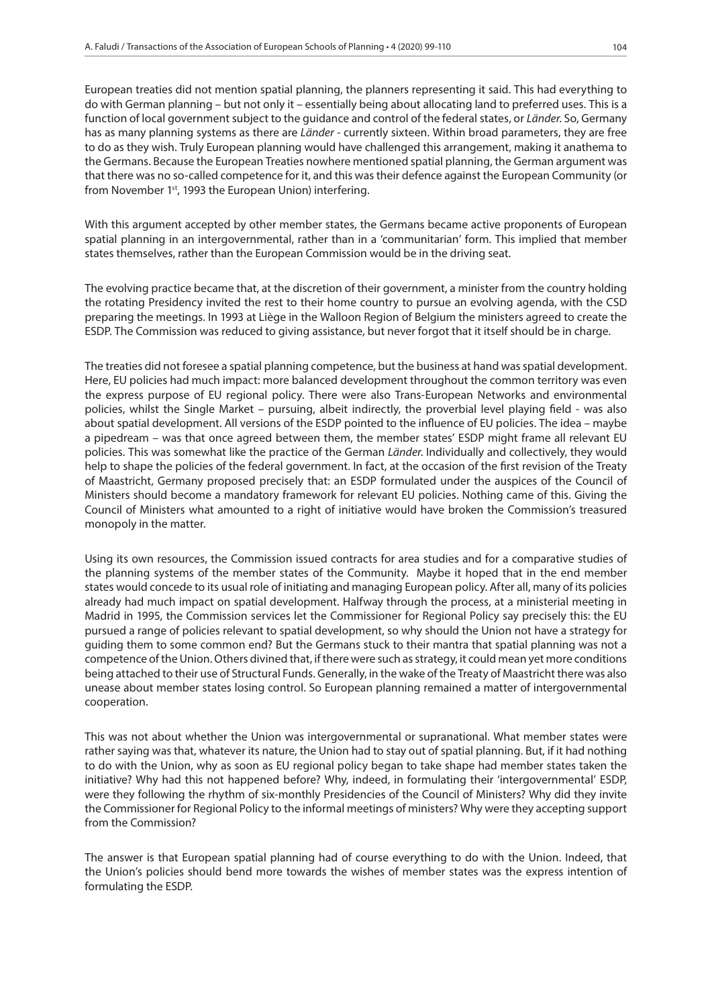European treaties did not mention spatial planning, the planners representing it said. This had everything to do with German planning – but not only it – essentially being about allocating land to preferred uses. This is a function of local government subject to the guidance and control of the federal states, or *Länder*. So, Germany has as many planning systems as there are *Länder* - currently sixteen. Within broad parameters, they are free to do as they wish. Truly European planning would have challenged this arrangement, making it anathema to the Germans. Because the European Treaties nowhere mentioned spatial planning, the German argument was that there was no so-called competence for it, and this was their defence against the European Community (or from November 1<sup>st</sup>, 1993 the European Union) interfering.

With this argument accepted by other member states, the Germans became active proponents of European spatial planning in an intergovernmental, rather than in a 'communitarian' form. This implied that member states themselves, rather than the European Commission would be in the driving seat.

The evolving practice became that, at the discretion of their government, a minister from the country holding the rotating Presidency invited the rest to their home country to pursue an evolving agenda, with the CSD preparing the meetings. In 1993 at Liège in the Walloon Region of Belgium the ministers agreed to create the ESDP. The Commission was reduced to giving assistance, but never forgot that it itself should be in charge.

The treaties did not foresee a spatial planning competence, but the business at hand was spatial development. Here, EU policies had much impact: more balanced development throughout the common territory was even the express purpose of EU regional policy. There were also Trans-European Networks and environmental policies, whilst the Single Market – pursuing, albeit indirectly, the proverbial level playing field - was also about spatial development. All versions of the ESDP pointed to the influence of EU policies. The idea – maybe a pipedream – was that once agreed between them, the member states' ESDP might frame all relevant EU policies. This was somewhat like the practice of the German *Länder*. Individually and collectively, they would help to shape the policies of the federal government. In fact, at the occasion of the first revision of the Treaty of Maastricht, Germany proposed precisely that: an ESDP formulated under the auspices of the Council of Ministers should become a mandatory framework for relevant EU policies. Nothing came of this. Giving the Council of Ministers what amounted to a right of initiative would have broken the Commission's treasured monopoly in the matter.

Using its own resources, the Commission issued contracts for area studies and for a comparative studies of the planning systems of the member states of the Community. Maybe it hoped that in the end member states would concede to its usual role of initiating and managing European policy. After all, many of its policies already had much impact on spatial development. Halfway through the process, at a ministerial meeting in Madrid in 1995, the Commission services let the Commissioner for Regional Policy say precisely this: the EU pursued a range of policies relevant to spatial development, so why should the Union not have a strategy for guiding them to some common end? But the Germans stuck to their mantra that spatial planning was not a competence of the Union. Others divined that, if there were such as strategy, it could mean yet more conditions being attached to their use of Structural Funds. Generally, in the wake of the Treaty of Maastricht there was also unease about member states losing control. So European planning remained a matter of intergovernmental cooperation.

This was not about whether the Union was intergovernmental or supranational. What member states were rather saying was that, whatever its nature, the Union had to stay out of spatial planning. But, if it had nothing to do with the Union, why as soon as EU regional policy began to take shape had member states taken the initiative? Why had this not happened before? Why, indeed, in formulating their 'intergovernmental' ESDP, were they following the rhythm of six-monthly Presidencies of the Council of Ministers? Why did they invite the Commissioner for Regional Policy to the informal meetings of ministers? Why were they accepting support from the Commission?

The answer is that European spatial planning had of course everything to do with the Union. Indeed, that the Union's policies should bend more towards the wishes of member states was the express intention of formulating the ESDP.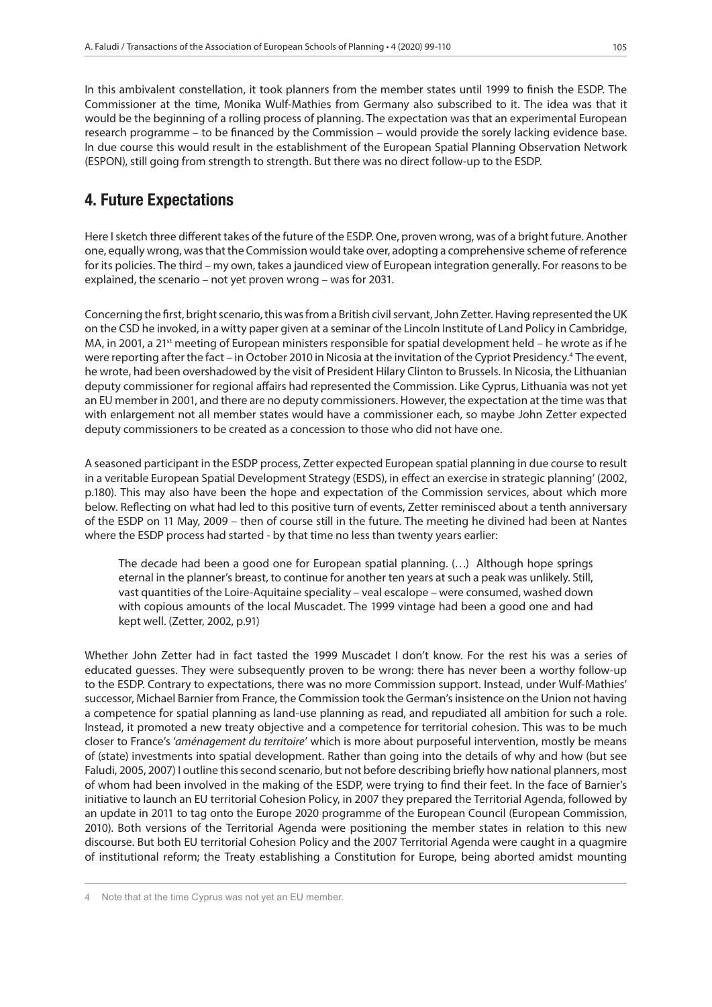In this ambivalent constellation, it took planners from the member states until 1999 to finish the ESDP. The Commissioner at the time, Monika Wulf-Mathies from Germany also subscribed to it. The idea was that it would be the beginning of a rolling process of planning. The expectation was that an experimental European research programme – to be financed by the Commission – would provide the sorely lacking evidence base. In due course this would result in the establishment of the European Spatial Planning Observation Network (ESPON), still going from strength to strength. But there was no direct follow-up to the ESDP.

## 4. Future Expectations

Here I sketch three different takes of the future of the ESDP. One, proven wrong, was of a bright future. Another one, equally wrong, was that the Commission would take over, adopting a comprehensive scheme of reference for its policies. The third – my own, takes a jaundiced view of European integration generally. For reasons to be explained, the scenario – not yet proven wrong – was for 2031.

Concerning the first, bright scenario, this was from a British civil servant, John Zetter. Having represented the UK on the CSD he invoked, in a witty paper given at a seminar of the Lincoln Institute of Land Policy in Cambridge, MA, in 2001, a 21<sup>st</sup> meeting of European ministers responsible for spatial development held - he wrote as if he were reporting after the fact – in October 2010 in Nicosia at the invitation of the Cypriot Presidency.<sup>4</sup> The event, he wrote, had been overshadowed by the visit of President Hilary Clinton to Brussels. In Nicosia, the Lithuanian deputy commissioner for regional affairs had represented the Commission. Like Cyprus, Lithuania was not yet an EU member in 2001, and there are no deputy commissioners. However, the expectation at the time was that with enlargement not all member states would have a commissioner each, so maybe John Zetter expected deputy commissioners to be created as a concession to those who did not have one.

A seasoned participant in the ESDP process, Zetter expected European spatial planning in due course to result in a veritable European Spatial Development Strategy (ESDS), in effect an exercise in strategic planning' (2002, p.180). This may also have been the hope and expectation of the Commission services, about which more below. Reflecting on what had led to this positive turn of events, Zetter reminisced about a tenth anniversary of the ESDP on 11 May, 2009 – then of course still in the future. The meeting he divined had been at Nantes where the ESDP process had started - by that time no less than twenty years earlier:

The decade had been a good one for European spatial planning. (…) Although hope springs eternal in the planner's breast, to continue for another ten years at such a peak was unlikely. Still, vast quantities of the Loire-Aquitaine speciality – veal escalope – were consumed, washed down with copious amounts of the local Muscadet. The 1999 vintage had been a good one and had kept well. (Zetter, 2002, p.91)

Whether John Zetter had in fact tasted the 1999 Muscadet I don't know. For the rest his was a series of educated guesses. They were subsequently proven to be wrong: there has never been a worthy follow-up to the ESDP. Contrary to expectations, there was no more Commission support. Instead, under Wulf-Mathies' successor, Michael Barnier from France, the Commission took the German's insistence on the Union not having a competence for spatial planning as land-use planning as read, and repudiated all ambition for such a role. Instead, it promoted a new treaty objective and a competence for territorial cohesion. This was to be much closer to France's '*aménagement du territoire*' which is more about purposeful intervention, mostly be means of (state) investments into spatial development. Rather than going into the details of why and how (but see Faludi, 2005, 2007) I outline this second scenario, but not before describing briefly how national planners, most of whom had been involved in the making of the ESDP, were trying to find their feet. In the face of Barnier's initiative to launch an EU territorial Cohesion Policy, in 2007 they prepared the Territorial Agenda, followed by an update in 2011 to tag onto the Europe 2020 programme of the European Council (European Commission, 2010). Both versions of the Territorial Agenda were positioning the member states in relation to this new discourse. But both EU territorial Cohesion Policy and the 2007 Territorial Agenda were caught in a quagmire of institutional reform; the Treaty establishing a Constitution for Europe, being aborted amidst mounting

<sup>42</sup> Note that at the time Cyprus was not yet an EU member.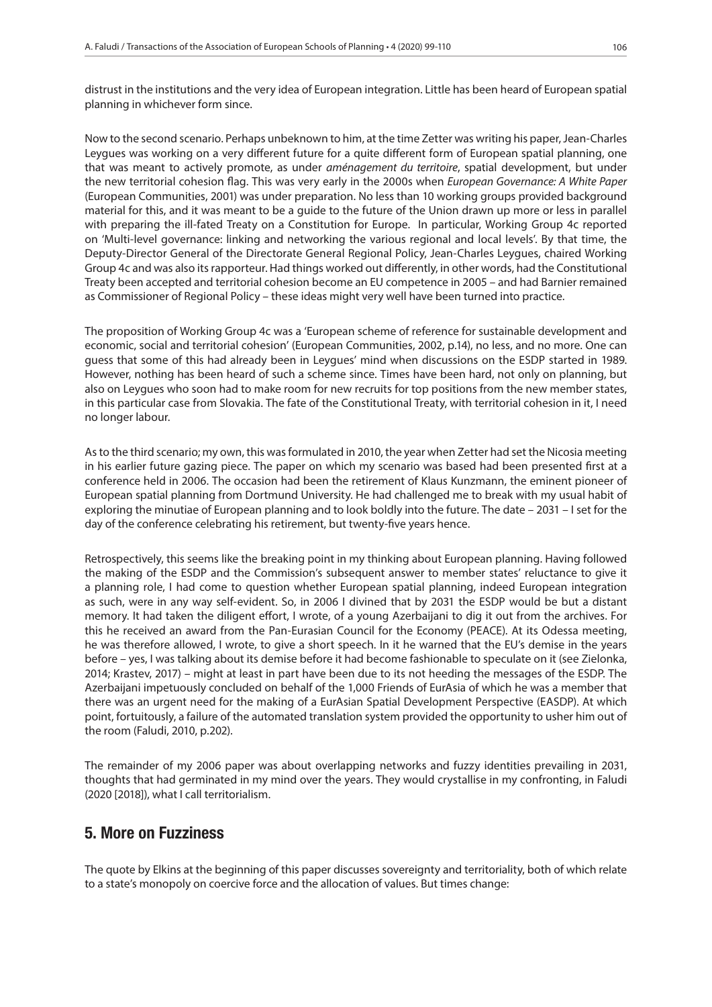distrust in the institutions and the very idea of European integration. Little has been heard of European spatial planning in whichever form since.

Now to the second scenario. Perhaps unbeknown to him, at the time Zetter was writing his paper, Jean-Charles Leygues was working on a very different future for a quite different form of European spatial planning, one that was meant to actively promote, as under *aménagement du territoire*, spatial development, but under the new territorial cohesion flag. This was very early in the 2000s when *European Governance: A White Paper* (European Communities, 2001) was under preparation. No less than 10 working groups provided background material for this, and it was meant to be a guide to the future of the Union drawn up more or less in parallel with preparing the ill-fated Treaty on a Constitution for Europe. In particular, Working Group 4c reported on 'Multi-level governance: linking and networking the various regional and local levels'. By that time, the Deputy-Director General of the Directorate General Regional Policy, Jean-Charles Leygues, chaired Working Group 4c and was also its rapporteur. Had things worked out differently, in other words, had the Constitutional Treaty been accepted and territorial cohesion become an EU competence in 2005 – and had Barnier remained as Commissioner of Regional Policy – these ideas might very well have been turned into practice.

The proposition of Working Group 4c was a 'European scheme of reference for sustainable development and economic, social and territorial cohesion' (European Communities, 2002, p.14), no less, and no more. One can guess that some of this had already been in Leygues' mind when discussions on the ESDP started in 1989. However, nothing has been heard of such a scheme since. Times have been hard, not only on planning, but also on Leygues who soon had to make room for new recruits for top positions from the new member states, in this particular case from Slovakia. The fate of the Constitutional Treaty, with territorial cohesion in it, I need no longer labour.

As to the third scenario; my own, this was formulated in 2010, the year when Zetter had set the Nicosia meeting in his earlier future gazing piece. The paper on which my scenario was based had been presented first at a conference held in 2006. The occasion had been the retirement of Klaus Kunzmann, the eminent pioneer of European spatial planning from Dortmund University. He had challenged me to break with my usual habit of exploring the minutiae of European planning and to look boldly into the future. The date – 2031 – I set for the day of the conference celebrating his retirement, but twenty-five years hence.

Retrospectively, this seems like the breaking point in my thinking about European planning. Having followed the making of the ESDP and the Commission's subsequent answer to member states' reluctance to give it a planning role, I had come to question whether European spatial planning, indeed European integration as such, were in any way self-evident. So, in 2006 I divined that by 2031 the ESDP would be but a distant memory. It had taken the diligent effort, I wrote, of a young Azerbaijani to dig it out from the archives. For this he received an award from the Pan-Eurasian Council for the Economy (PEACE). At its Odessa meeting, he was therefore allowed, I wrote, to give a short speech. In it he warned that the EU's demise in the years before – yes, I was talking about its demise before it had become fashionable to speculate on it (see Zielonka, 2014; Krastev, 2017) – might at least in part have been due to its not heeding the messages of the ESDP. The Azerbaijani impetuously concluded on behalf of the 1,000 Friends of EurAsia of which he was a member that there was an urgent need for the making of a EurAsian Spatial Development Perspective (EASDP). At which point, fortuitously, a failure of the automated translation system provided the opportunity to usher him out of the room (Faludi, 2010, p.202).

The remainder of my 2006 paper was about overlapping networks and fuzzy identities prevailing in 2031, thoughts that had germinated in my mind over the years. They would crystallise in my confronting, in Faludi (2020 [2018]), what I call territorialism.

#### 5. More on Fuzziness

The quote by Elkins at the beginning of this paper discusses sovereignty and territoriality, both of which relate to a state's monopoly on coercive force and the allocation of values. But times change: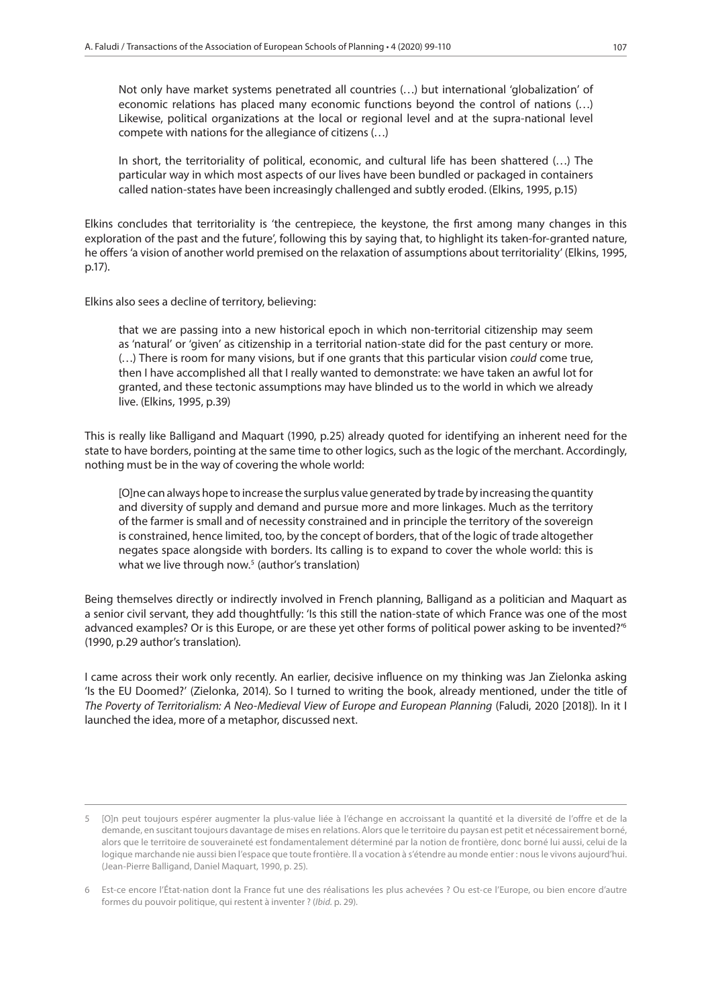Not only have market systems penetrated all countries (…) but international 'globalization' of economic relations has placed many economic functions beyond the control of nations (…) Likewise, political organizations at the local or regional level and at the supra-national level compete with nations for the allegiance of citizens (…)

In short, the territoriality of political, economic, and cultural life has been shattered (…) The particular way in which most aspects of our lives have been bundled or packaged in containers called nation-states have been increasingly challenged and subtly eroded. (Elkins, 1995, p.15)

Elkins concludes that territoriality is 'the centrepiece, the keystone, the first among many changes in this exploration of the past and the future', following this by saying that, to highlight its taken-for-granted nature, he offers 'a vision of another world premised on the relaxation of assumptions about territoriality' (Elkins, 1995, p.17).

#### Elkins also sees a decline of territory, believing:

that we are passing into a new historical epoch in which non-territorial citizenship may seem as 'natural' or 'given' as citizenship in a territorial nation-state did for the past century or more. (…) There is room for many visions, but if one grants that this particular vision *could* come true, then I have accomplished all that I really wanted to demonstrate: we have taken an awful lot for granted, and these tectonic assumptions may have blinded us to the world in which we already live. (Elkins, 1995, p.39)

This is really like Balligand and Maquart (1990, p.25) already quoted for identifying an inherent need for the state to have borders, pointing at the same time to other logics, such as the logic of the merchant. Accordingly, nothing must be in the way of covering the whole world:

[O]ne can always hope to increase the surplus value generated by trade by increasing the quantity and diversity of supply and demand and pursue more and more linkages. Much as the territory of the farmer is small and of necessity constrained and in principle the territory of the sovereign is constrained, hence limited, too, by the concept of borders, that of the logic of trade altogether negates space alongside with borders. Its calling is to expand to cover the whole world: this is what we live through now.<sup>5</sup> (author's translation)

Being themselves directly or indirectly involved in French planning, Balligand as a politician and Maquart as a senior civil servant, they add thoughtfully: 'Is this still the nation-state of which France was one of the most advanced examples? Or is this Europe, or are these yet other forms of political power asking to be invented?<sup>6</sup> (1990, p.29 author's translation).

I came across their work only recently. An earlier, decisive influence on my thinking was Jan Zielonka asking 'Is the EU Doomed?' (Zielonka, 2014). So I turned to writing the book, already mentioned, under the title of *The Poverty of Territorialism: A Neo-Medieval View of Europe and European Planning* (Faludi, 2020 [2018]). In it I launched the idea, more of a metaphor, discussed next.

<sup>53</sup> [O]n peut toujours espérer augmenter la plus-value liée à l'échange en accroissant la quantité et la diversité de l'offre et de la demande, en suscitant toujours davantage de mises en relations. Alors que le territoire du paysan est petit et nécessairement borné, alors que le territoire de souveraineté est fondamentalement déterminé par la notion de frontière, donc borné lui aussi, celui de la logique marchande nie aussi bien l'espace que toute frontière. Il a vocation à s'étendre au monde entier : nous le vivons aujourd'hui. (Jean-Pierre Balligand, Daniel Maquart, 1990, p. 25).

<sup>64</sup> Est-ce encore l'État-nation dont la France fut une des réalisations les plus achevées ? Ou est-ce l'Europe, ou bien encore d'autre formes du pouvoir politique, qui restent à inventer ? (*Ibid.* p. 29).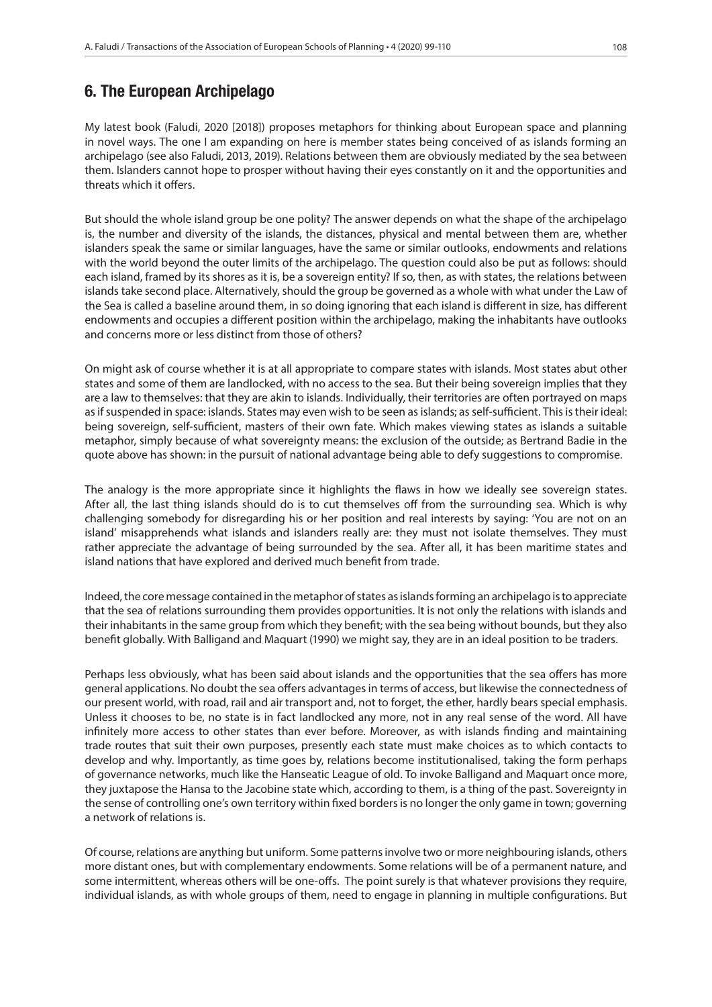#### 6. The European Archipelago

My latest book (Faludi, 2020 [2018]) proposes metaphors for thinking about European space and planning in novel ways. The one I am expanding on here is member states being conceived of as islands forming an archipelago (see also Faludi, 2013, 2019). Relations between them are obviously mediated by the sea between them. Islanders cannot hope to prosper without having their eyes constantly on it and the opportunities and threats which it offers.

But should the whole island group be one polity? The answer depends on what the shape of the archipelago is, the number and diversity of the islands, the distances, physical and mental between them are, whether islanders speak the same or similar languages, have the same or similar outlooks, endowments and relations with the world beyond the outer limits of the archipelago. The question could also be put as follows: should each island, framed by its shores as it is, be a sovereign entity? If so, then, as with states, the relations between islands take second place. Alternatively, should the group be governed as a whole with what under the Law of the Sea is called a baseline around them, in so doing ignoring that each island is different in size, has different endowments and occupies a different position within the archipelago, making the inhabitants have outlooks and concerns more or less distinct from those of others?

On might ask of course whether it is at all appropriate to compare states with islands. Most states abut other states and some of them are landlocked, with no access to the sea. But their being sovereign implies that they are a law to themselves: that they are akin to islands. Individually, their territories are often portrayed on maps as if suspended in space: islands. States may even wish to be seen as islands; as self-sufficient. This is their ideal: being sovereign, self-sufficient, masters of their own fate. Which makes viewing states as islands a suitable metaphor, simply because of what sovereignty means: the exclusion of the outside; as Bertrand Badie in the quote above has shown: in the pursuit of national advantage being able to defy suggestions to compromise.

The analogy is the more appropriate since it highlights the flaws in how we ideally see sovereign states. After all, the last thing islands should do is to cut themselves off from the surrounding sea. Which is why challenging somebody for disregarding his or her position and real interests by saying: 'You are not on an island' misapprehends what islands and islanders really are: they must not isolate themselves. They must rather appreciate the advantage of being surrounded by the sea. After all, it has been maritime states and island nations that have explored and derived much benefit from trade.

Indeed, the core message contained in the metaphor of states as islands forming an archipelago is to appreciate that the sea of relations surrounding them provides opportunities. It is not only the relations with islands and their inhabitants in the same group from which they benefit; with the sea being without bounds, but they also benefit globally. With Balligand and Maquart (1990) we might say, they are in an ideal position to be traders.

Perhaps less obviously, what has been said about islands and the opportunities that the sea offers has more general applications. No doubt the sea offers advantages in terms of access, but likewise the connectedness of our present world, with road, rail and air transport and, not to forget, the ether, hardly bears special emphasis. Unless it chooses to be, no state is in fact landlocked any more, not in any real sense of the word. All have infinitely more access to other states than ever before. Moreover, as with islands finding and maintaining trade routes that suit their own purposes, presently each state must make choices as to which contacts to develop and why. Importantly, as time goes by, relations become institutionalised, taking the form perhaps of governance networks, much like the Hanseatic League of old. To invoke Balligand and Maquart once more, they juxtapose the Hansa to the Jacobine state which, according to them, is a thing of the past. Sovereignty in the sense of controlling one's own territory within fixed borders is no longer the only game in town; governing a network of relations is.

Of course, relations are anything but uniform. Some patterns involve two or more neighbouring islands, others more distant ones, but with complementary endowments. Some relations will be of a permanent nature, and some intermittent, whereas others will be one-offs. The point surely is that whatever provisions they require, individual islands, as with whole groups of them, need to engage in planning in multiple configurations. But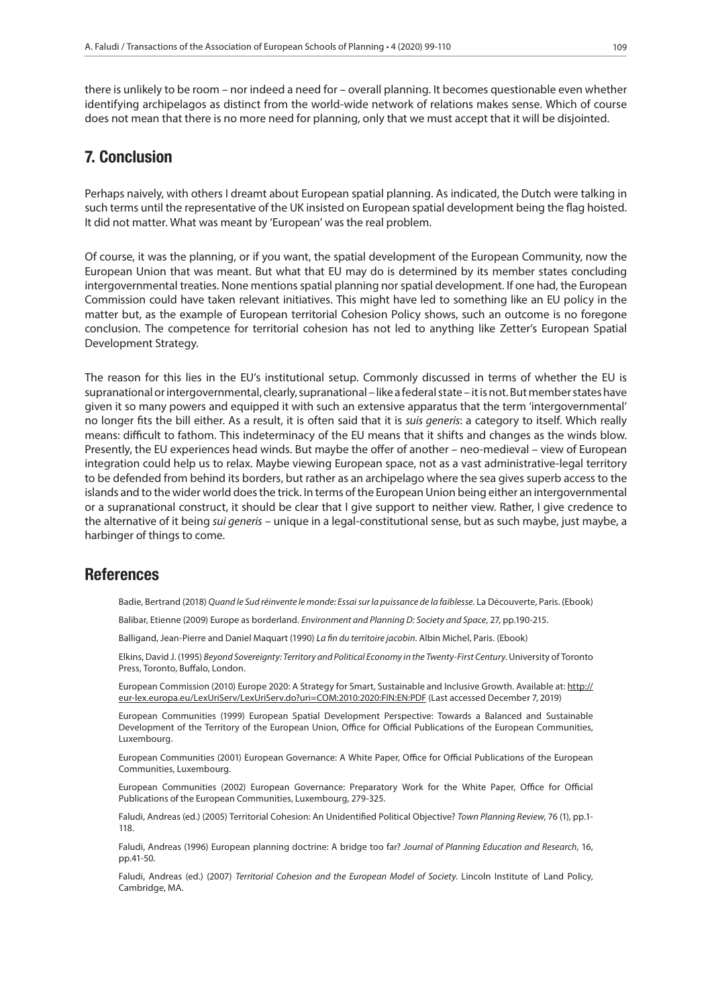there is unlikely to be room – nor indeed a need for – overall planning. It becomes questionable even whether identifying archipelagos as distinct from the world-wide network of relations makes sense. Which of course does not mean that there is no more need for planning, only that we must accept that it will be disjointed.

#### 7. Conclusion

Perhaps naively, with others I dreamt about European spatial planning. As indicated, the Dutch were talking in such terms until the representative of the UK insisted on European spatial development being the flag hoisted. It did not matter. What was meant by 'European' was the real problem.

Of course, it was the planning, or if you want, the spatial development of the European Community, now the European Union that was meant. But what that EU may do is determined by its member states concluding intergovernmental treaties. None mentions spatial planning nor spatial development. If one had, the European Commission could have taken relevant initiatives. This might have led to something like an EU policy in the matter but, as the example of European territorial Cohesion Policy shows, such an outcome is no foregone conclusion. The competence for territorial cohesion has not led to anything like Zetter's European Spatial Development Strategy.

The reason for this lies in the EU's institutional setup. Commonly discussed in terms of whether the EU is supranational or intergovernmental, clearly, supranational – like a federal state – it is not. But member states have given it so many powers and equipped it with such an extensive apparatus that the term 'intergovernmental' no longer fits the bill either. As a result, it is often said that it is *suis generis*: a category to itself. Which really means: difficult to fathom. This indeterminacy of the EU means that it shifts and changes as the winds blow. Presently, the EU experiences head winds. But maybe the offer of another – neo-medieval – view of European integration could help us to relax. Maybe viewing European space, not as a vast administrative-legal territory to be defended from behind its borders, but rather as an archipelago where the sea gives superb access to the islands and to the wider world does the trick. In terms of the European Union being either an intergovernmental or a supranational construct, it should be clear that I give support to neither view. Rather, I give credence to the alternative of it being *sui generis* – unique in a legal-constitutional sense, but as such maybe, just maybe, a harbinger of things to come.

#### **References**

Badie, Bertrand (2018) *Quand le Sud réinvente le monde: Essai sur la puissance de la faiblesse.* La Découverte, Paris. (Ebook)

Balibar, Etienne (2009) Europe as borderland. *Environment and Planning D: Society and Space*, 27, pp.190-215.

Balligand, Jean-Pierre and Daniel Maquart (1990) *La fin du territoire jacobin*. Albin Michel, Paris. (Ebook)

Elkins, David J. (1995) *Beyond Sovereignty: Territory and Political Economy in the Twenty-First Century*. University of Toronto Press, Toronto, Buffalo, London.

European Commission (2010) Europe 2020: A Strategy for Smart, Sustainable and Inclusive Growth. Available at: http:// eur-lex.europa.eu/LexUriServ/LexUriServ.do?uri=COM:2010:2020:FIN:EN:PDF (Last accessed December 7, 2019)

European Communities (1999) European Spatial Development Perspective: Towards a Balanced and Sustainable Development of the Territory of the European Union, Office for Official Publications of the European Communities, Luxembourg.

European Communities (2001) European Governance: A White Paper, Office for Official Publications of the European Communities, Luxembourg.

European Communities (2002) European Governance: Preparatory Work for the White Paper, Office for Official Publications of the European Communities, Luxembourg, 279-325.

Faludi, Andreas (ed.) (2005) Territorial Cohesion: An Unidentified Political Objective? *Town Planning Review*, 76 (1), pp.1- 118.

Faludi, Andreas (1996) European planning doctrine: A bridge too far? *Journal of Planning Education and Research*, 16, pp.41-50.

Faludi, Andreas (ed.) (2007) *Territorial Cohesion and the European Model of Society*. Lincoln Institute of Land Policy, Cambridge, MA.